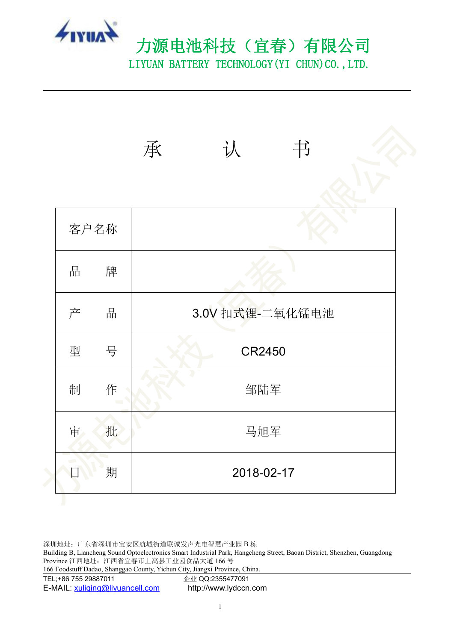

# 力源电池科技(宜春)有限公司 LIYUAN BATTERY TECHNOLOGY (YI CHUN) CO., LTD.

|      |             | 认<br>书<br>承     |  |
|------|-------------|-----------------|--|
| 客户名称 |             |                 |  |
| 品    | 牌           |                 |  |
| 产    | 品           | 3.0V 扣式锂-二氧化锰电池 |  |
| 型    | 号           | CR2450          |  |
| 制    | 作<br>$\sim$ | 邹陆军             |  |
| 审    | 批           | 马旭军             |  |
| 日    | 期           | 2018-02-17      |  |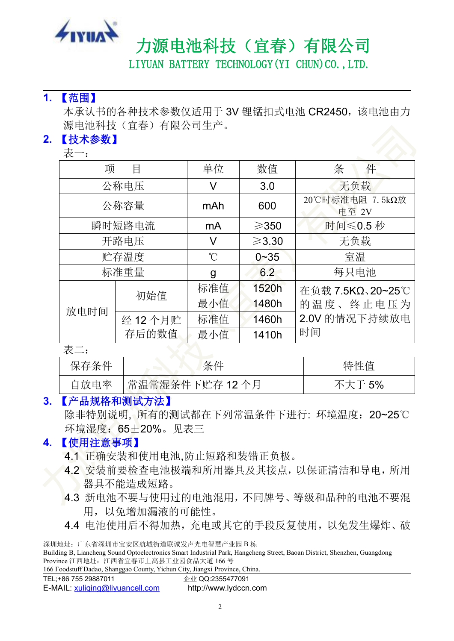

LIYUAN BATTERY TECHNOLOGY (YI CHUN) CO., LTD.

#### **1.** 【范围】

本承认书的各种技术参数仅适用于 3V 锂锰扣式电池 CR2450, 该电池由力 源电池科技(宜春)有限公司生产。

## **2.** 【技术参数】

| 表一:    |        |             |                 |                          |
|--------|--------|-------------|-----------------|--------------------------|
| 项      | 目      | 单位          | 数值              | 件<br>条                   |
|        | 公称电压   | V           | 3.0             | 无负载                      |
| 公称容量   |        | mAh         | 600             | 20℃时标准电阻 7.5kΩ放<br>电至 2V |
| 瞬时短路电流 |        | mA          | $\geqslant$ 350 | 时间≤0.5秒                  |
| 开路电压   |        | V           | $\geq 3.30$     | 无负载                      |
| 贮存温度   |        | $^{\circ}C$ | $0 - 35$        | 室温                       |
|        | 标准重量   | g           | 6.2             | 每只电池                     |
|        | 初始值    | 标准值         | 1520h           | 在负载 7.5KΩ、20~25℃         |
| 放电时间   |        | 最小值         | 1480h           | 的温度、终止电压为                |
|        | 经12个月贮 | 标准值         | 1460h           | 2.0V 的情况下持续放电            |
|        | 存后的数值  | 最小值         | 1410h           | 时间                       |

表二:

| 保存条件 | ⁄フ /山<br>余<br>--                                  | 特性值                            |
|------|---------------------------------------------------|--------------------------------|
| 自放电率 | 常温常湿条件<br>. F<br>"'下贮存<br>$\mu$<br>12<br>八<br>. . | $\overline{\phantom{a}}$<br>5% |

#### **3.** 【产品规格和测试方法】

除非特别说明, 所有的测试都在下列常温条件下进行: 环境温度: 20~25℃ 环境湿度:65±20%。见表三

### **4.** 【使用注意事项】

- 4.1 正确安装和使用电池,防止短路和装错正负极。
- 4.2 安装前要检查电池极端和所用器具及其接点,以保证清洁和导电,所用 器具不能造成短路。
- 4.3 新电池不要与使用过的电池混用,不同牌号、等级和品种的电池不要混 用,以免增加漏液的可能性。
- 4.4 电池使用后不得加热,充电或其它的手段反复使用,以免发生爆炸、破

Building B, Liancheng Sound Optoelectronics Smart Industrial Park, Hangcheng Street, Baoan District, Shenzhen, Guangdong Province 江西地址:江西省宜春市上高县工业园食品大道 166 号

|                      | 166 Foodstuff Dadao, Shanggao County, Yichun City, Jiangxi Province, China. |
|----------------------|-----------------------------------------------------------------------------|
| TEL:+86 755 29887011 | 企业 QQ:2355477091                                                            |

| TEL;+86 755 29887011 |  |  |
|----------------------|--|--|
|                      |  |  |

| E-MAIL: xuliging@liyuancell.com | http://www.lydccn.com |
|---------------------------------|-----------------------|
|---------------------------------|-----------------------|

深圳地址:广东省深圳市宝安区航城街道联诚发声光电智慧产业园 B 栋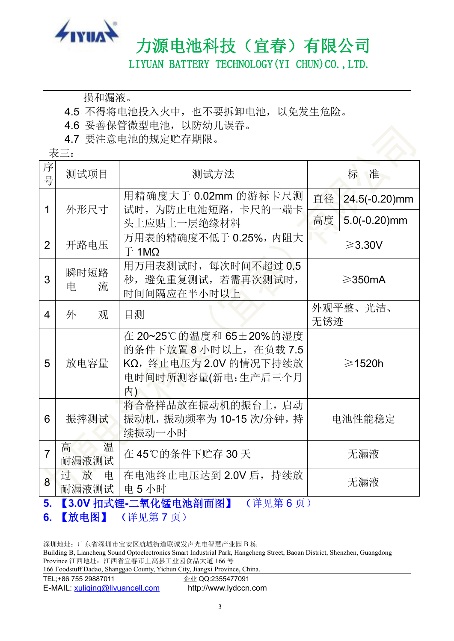

LIYUAN BATTERY TECHNOLOGY (YI CHUN) CO., LTD.

损和漏液。

4.5 不得将电池投入火中,也不要拆卸电池,以免发生危险。

- 4.6 妥善保管微型电池,以防幼儿误吞。<br>4.7 要注意电池的规定贮存期限。
- 4.7 要注意电池的规定贮存期限。

|                | 表三:                  |                                                                                                     |     |                   |
|----------------|----------------------|-----------------------------------------------------------------------------------------------------|-----|-------------------|
| 序<br>号         | 测试项目                 | 测试方法                                                                                                |     | 准<br>标            |
| 1              | 外形尺寸                 | 用精确度大于 0.02mm 的游标卡尺测<br>试时,为防止电池短路,卡尺的一端卡                                                           | 直径  | $24.5(-0.20)$ mm  |
|                |                      | 头上应贴上一层绝缘材料                                                                                         | 高度  | $5.0(-0.20)$ mm   |
| $\overline{2}$ | 开路电压                 | 万用表的精确度不低于 0.25%, 内阻大<br>$\pm$ 1M $\Omega$                                                          |     | $\geqslant$ 3.30V |
| 3              | 瞬时短路<br>流<br>电       | 用万用表测试时,每次时间不超过 0.5<br>秒, 避免重复测试, 若需再次测试时,<br>时间间隔应在半小时以上                                           |     | $\geqslant$ 350mA |
| 4              | 观<br>外               | 目测                                                                                                  | 无锈迹 | 外观平整、光洁、          |
| 5              | 放电容量                 | 在 20~25℃的温度和 65±20%的湿度<br>的条件下放置8小时以上, 在负载7.5<br>KΩ, 终止电压为 2.0V 的情况下持续放<br>电时间时所测容量(新电:生产后三个月<br>内) |     | $\geqslant$ 1520h |
| 6              | 振摔测试                 | 将合格样品放在振动机的振台上,启动<br>振动机, 振动频率为 10-15 次/分钟, 持<br>续振动一小时                                             |     | 电池性能稳定            |
| $\overline{7}$ | 高<br>温<br>耐漏液测试      | 在45℃的条件下贮存30天                                                                                       |     | 无漏液               |
| 8              | 过<br>放<br>电<br>耐漏液测试 | 在电池终止电压达到 2.0V 后, 持续放<br>电5小时                                                                       |     | 无漏液               |

## **5.** 【**3.0V** 扣式锂**-**二氧化锰电池剖面图】 (详见第 6 页)

**6.** 【放电图】 (详见第 7 页)

深圳地址:广东省深圳市宝安区航城街道联诚发声光电智慧产业园 B 栋

Building B, Liancheng Sound Optoelectronics Smart Industrial Park, Hangcheng Street, Baoan District, Shenzhen, Guangdong Province 江西地址:江西省宜春市上高县工业园食品大道 166 号

| 166 Foodstuff Dadao, Shanggao County, Yichun City, Jiangxi Province, China. |  |  |
|-----------------------------------------------------------------------------|--|--|
|                                                                             |  |  |

TEL;+86 755 29887011 企业 QQ:2355477091

E-MAIL: [xuliqing@liyuancell.com](mailto:xuliqing@liyuancell.com) http://www.lydccn.com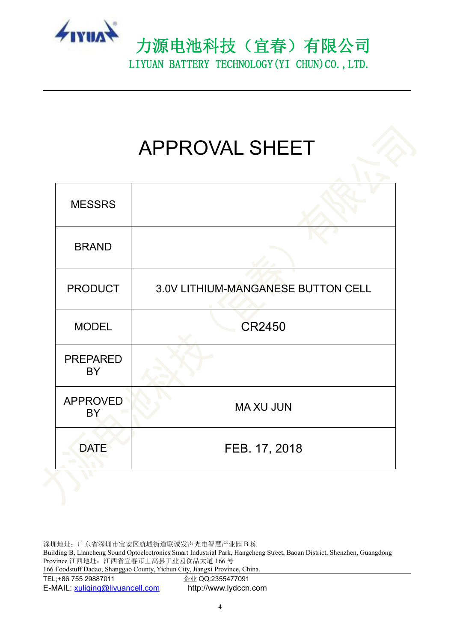

# APPROVAL SHEET

| <b>MESSRS</b>                |                                    |
|------------------------------|------------------------------------|
| <b>BRAND</b>                 |                                    |
| <b>PRODUCT</b>               | 3.0V LITHIUM-MANGANESE BUTTON CELL |
| <b>MODEL</b>                 | CR2450                             |
| <b>PREPARED</b><br><b>BY</b> |                                    |
| <b>APPROVED</b><br><b>BY</b> | <b>MA XU JUN</b>                   |
| <b>DATE</b>                  | FEB. 17, 2018                      |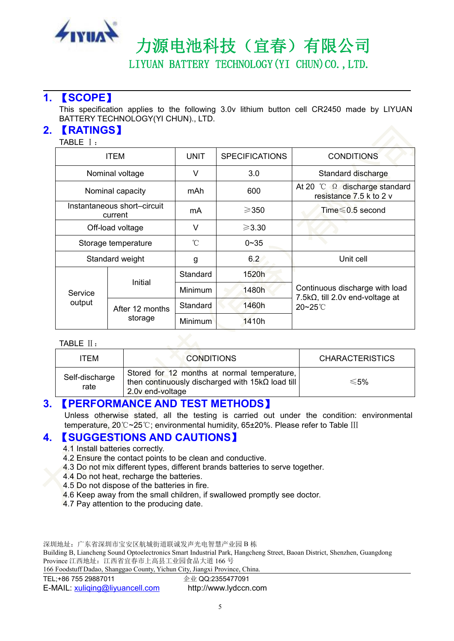

LIYUAN BATTERY TECHNOLOGY (YI CHUN) CO., LTD.

#### **1.** 【**SCOPE**】

This specification applies to the following 3.0v lithium button cell CR2450 made by LIYUAN BATTERY TECHNOLOGY(YI CHUN)., LTD.

#### **2.** 【**RATINGS**】

TABLE Ⅰ:

| <b>ITEM</b>                            |                     | <b>UNIT</b>    | <b>SPECIFICATIONS</b> | <b>CONDITIONS</b>                                                                          |  |
|----------------------------------------|---------------------|----------------|-----------------------|--------------------------------------------------------------------------------------------|--|
|                                        | Nominal voltage     | V              | 3.0                   | Standard discharge                                                                         |  |
|                                        | Nominal capacity    | mAh            | 600                   | At 20 $^{\circ}$ C.<br>$\Omega$<br>discharge standard<br>resistance 7.5 k to 2 v           |  |
| Instantaneous short-circuit<br>current |                     | mA             | $\geqslant$ 350       | Time $\leq 0.5$ second                                                                     |  |
| Off-load voltage                       |                     | V              | $\geqslant$ 3.30      |                                                                                            |  |
|                                        | Storage temperature |                | $0 - 35$              |                                                                                            |  |
|                                        | Standard weight     | g              | 6.2                   | Unit cell                                                                                  |  |
|                                        | Initial             | Standard       | 1520h                 | Continuous discharge with load<br>7.5k $\Omega$ , till 2.0v end-voltage at<br>$20 - 25$ °C |  |
| Service<br>output                      |                     | <b>Minimum</b> | 1480h                 |                                                                                            |  |
|                                        | After 12 months     | Standard       | 1460h                 |                                                                                            |  |
|                                        | storage             | <b>Minimum</b> | 1410h                 |                                                                                            |  |

#### TABLE Ⅱ:

| TEM                    | <b>CONDITIONS</b>                                                                                                          | <b>CHARACTERISTICS</b> |  |
|------------------------|----------------------------------------------------------------------------------------------------------------------------|------------------------|--|
| Self-discharge<br>rate | Stored for 12 months at normal temperature,<br>then continuously discharged with $15k\Omega$ load till<br>2.0v end-voltage | ≲5%                    |  |

#### **3.** 【**PERFORMANCE AND TEST METHODS**】

Unless otherwise stated, all the testing is carried out under the condition: environmental temperature, 20℃~25℃; environmental humidity, 65±20%. Please refer to Table Ⅲ

#### **4.** 【**SUGGESTIONS AND CAUTIONS**】

- 4.1 Install batteries correctly.
- 4.2 Ensure the contact points to be clean and conductive.
- 4.3 Do not mix different types, different brands batteries to serve together.
- 4.4 Do not heat, recharge the batteries.
- 4.5 Do not dispose of the batteries in fire.
- 4.6 Keep away from the small children, if swallowed promptly see doctor.
- 4.7 Pay attention to the producing date.

深圳地址:广东省深圳市宝安区航城街道联诚发声光电智慧产业园 B 栋

Building B, Liancheng Sound Optoelectronics Smart Industrial Park, Hangcheng Street, Baoan District, Shenzhen, Guangdong Province 江西地址:江西省宜春市上高县工业园食品大道 166 号

| 166 Foodstuff Dadao, Shanggao County, Yichun City, Jiangxi Province, China. |  |  |  |
|-----------------------------------------------------------------------------|--|--|--|
|                                                                             |  |  |  |

TEL;+86 755 29887011 <br>E-MAIL: xuliqing@liyuancell.com http://www.lydccn.com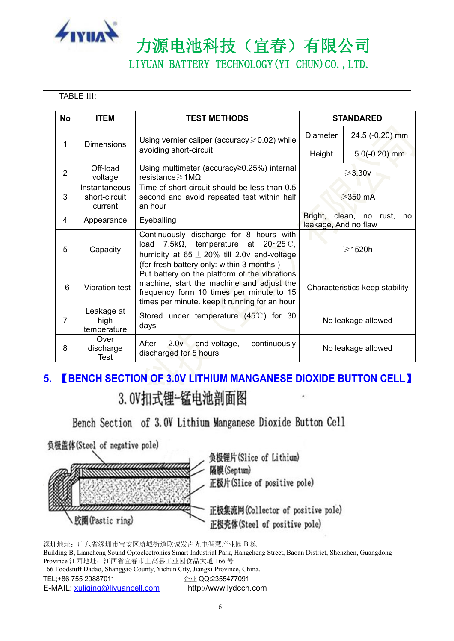

LIYUAN BATTERY TECHNOLOGY (YI CHUN) CO., LTD.

TABLE Ⅲ:

| <b>No</b>      | <b>ITEM</b>                               | <b>TEST METHODS</b>                                                                                                                                                                     | <b>STANDARED</b>                                         |                 |
|----------------|-------------------------------------------|-----------------------------------------------------------------------------------------------------------------------------------------------------------------------------------------|----------------------------------------------------------|-----------------|
| 1              | <b>Dimensions</b>                         | Using vernier caliper (accuracy $\geq 0.02$ ) while<br>avoiding short-circuit                                                                                                           | Diameter                                                 | 24.5 (-0.20) mm |
|                |                                           |                                                                                                                                                                                         | Height                                                   | $5.0(-0.20)$ mm |
| $\overline{2}$ | Off-load<br>voltage                       | Using multimeter (accuracy≥0.25%) internal<br>resistance $\geq 1 \text{M}\Omega$                                                                                                        | $\geqslant$ 3.30 $v$                                     |                 |
| 3              | Instantaneous<br>short-circuit<br>current | Time of short-circuit should be less than 0.5<br>second and avoid repeated test within half<br>an hour                                                                                  | $\geqslant$ 350 mA                                       |                 |
| 4              | Appearance                                | Eyeballing                                                                                                                                                                              | Bright,<br>clean, no rust,<br>no<br>leakage, And no flaw |                 |
| 5              | Capacity                                  | Continuously discharge for 8 hours with<br>load 7.5k $\Omega$ , temperature at 20~25°C,<br>humidity at $65 \pm 20\%$ till 2.0v end-voltage<br>(for fresh battery only: within 3 months) | $\geqslant$ 1520h                                        |                 |
| 6              | <b>Vibration test</b>                     | Put battery on the platform of the vibrations<br>machine, start the machine and adjust the<br>frequency form 10 times per minute to 15<br>times per minute. keep it running for an hour | Characteristics keep stability                           |                 |
| 7              | Leakage at<br>high<br>temperature         | Stored under temperature $(45^{\circ}$ C) for 30<br>days                                                                                                                                | No leakage allowed                                       |                 |
| 8              | Over<br>discharge<br>Test                 | After<br>2.0v<br>end-voltage,<br>continuously<br>discharged for 5 hours                                                                                                                 | No leakage allowed                                       |                 |

# **5.** 【**BENCH SECTION OF 3.0V LITHIUM MANGANESE DIOXIDE BUTTON CELL**】3.0V扣式锂-锰电池剖面图

Bench Section of 3.0V Lithium Manganese Dioxide Button Cell